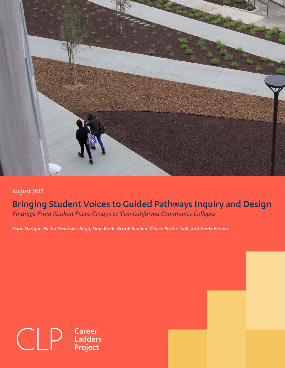

August 2017

# Bringing Student Voices to Guided Pathways Inquiry and Design

*Findings From Student Focus Groups at Two California Community Colleges*

*Mina Dadgar, Elisha Smith Arrillaga, Dina Buck, Brook Sinclair, Chase Fischerhall, and Kenly Brown*

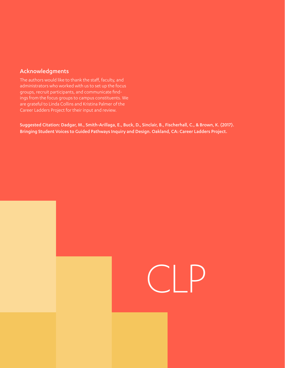## Acknowledgments

The authors would like to thank the staff, faculty, and administrators who worked with us to set up the focus groups, recruit participants, and communicate findings from the focus groups to campus constituents. We are grateful to Linda Collins and Kristina Palmer of the Career Ladders Project for their input and review.

Suggested Citation: Dadgar, M., Smith-Arillaga, E., Buck, D., Sinclair, B., Fischerhall, C., & Brown, K. (2017). Bringing Student Voices to Guided Pathways Inquiry and Design. Oakland, CA: Career Ladders Project.

Career Ladders Project | Bringing Student Voices to Guided Pathways Inquiry and Design

# CLP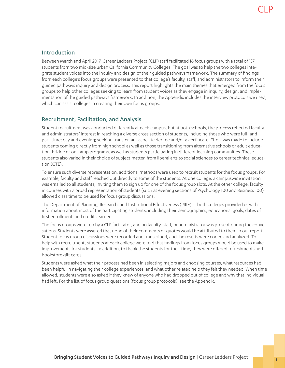## Introduction

Between March and April 2017, Career Ladders Project (CLP) staff facilitated 16 focus groups with a total of 137 students from two mid-size urban California Community Colleges. The goal was to help the two colleges integrate student voices into the inquiry and design of their guided pathways framework. The summary of findings from each college's focus groups were presented to that college's faculty, staff, and administrators to inform their guided pathways inquiry and design process. This report highlights the main themes that emerged from the focus groups to help other colleges seeking to learn from student voices as they engage in inquiry, design, and implementation of the guided pathways framework. In addition, the Appendix includes the interview protocols we used, which can assist colleges in creating their own focus groups.

# Recruitment, Facilitation, and Analysis

Student recruitment was conducted differently at each campus, but at both schools, the process reflected faculty and administrators' interest in reaching a diverse cross section of students, including those who were full- and part-time; day and evening; seeking transfer, an associate degree and/or a certificate. Effort was made to include students coming directly from high school as well as those transitioning from alternative schools or adult education, bridge or on-ramp programs, as well as students participating in different learning communities. These students also varied in their choice of subject matter, from liberal arts to social sciences to career technical education (CTE).

To ensure such diverse representation, additional methods were used to recruit students for the focus groups. For example, faculty and staff reached out directly to some of the students. At one college, a campuswide invitation was emailed to all students, inviting them to sign up for one of the focus group slots. At the other college, faculty in courses with a broad representation of students (such as evening sections of Psychology 100 and Business 100) allowed class time to be used for focus group discussions.

The Department of Planning, Research, and Institutional Effectiveness (PRIE) at both colleges provided us with information about most of the participating students, including their demographics, educational goals, dates of first enrollment, and credits earned.

The focus groups were run by a CLP facilitator, and no faculty, staff, or administrator was present during the conversations. Students were assured that none of their comments or quotes would be attributed to them in our report. Student focus group discussions were recorded and transcribed, and the results were coded and analyzed. To help with recruitment, students at each college were told that findings from focus groups would be used to make improvements for students. In addition, to thank the students for their time, they were offered refreshments and bookstore gift cards.

Students were asked what their process had been in selecting majors and choosing courses, what resources had been helpful in navigating their college experiences, and what other related help they felt they needed. When time allowed, students were also asked if they knew of anyone who had dropped out of college and why that individual had left. For the list of focus group questions (focus group protocols), see the Appendix.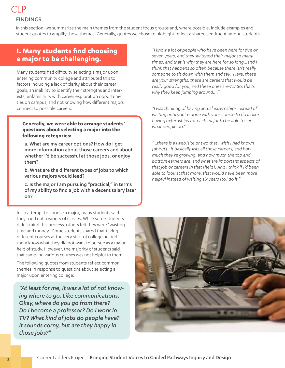In this section, we summarize the main themes from the student focus groups and, where possible, include examples and student quotes to amplify those themes. Generally, quotes we chose to highlight reflect a shared sentiment among students.

# **I. Many students find choosing a major to be challenging.**

Many students had difficulty selecting a major upon entering community college and attributed this to factors including a lack of clarity about their career goals, an inability to identify their strengths and interests, unfamiliarity with career exploration opportunities on campus, and not knowing how different majors connect to possible careers.

#### **Generally, we were able to arrange students' questions about selecting a major into the following categories:**

a. What are my career options? How do I get more information about those careers and about whether I'd be successful at those jobs, or enjoy them?

b. What are the different types of jobs to which various majors would lead?

c. Is the major I am pursuing "practical," in terms of my ability to find a job with a decent salary later on?

*"I know a lot of people who have been here for five or seven years, and they switched their major so many times, and that is why they are here for so long…and I think that happens so often because there isn't really someone to sit down with them and say, 'Here, these are your strengths, these are careers that would be really good for you, and these ones aren't.' So, that's why they keep jumping around…."*

*"I was thinking of having actual externships instead of waiting until you're done with your course to do it, like having externships for each major to be able to see what people do."*

*"…there is a [web]site or two that I wish I had known [about]…it basically lists all these careers, and how much they're growing, and how much the top and bottom earners are, and what are important aspects of that job or careers in that [field]. And I think if I'd been able to look at that more, that would have been more helpful instead of waiting six years [to] do it."*

In an attempt to choose a major, many students said they tried out a variety of classes. While some students didn't mind this process, others felt they were "wasting time and money." Some students shared that taking different courses at the very start of college helped them know what they did not want to pursue as a major field of study. However, the majority of students said that sampling various courses was not helpful to them.

The following quotes from students reflect common themes in response to questions about selecting a major upon entering college:

*"At least for me, it was a lot of not knowing where to go. Like communications. Okay, where do you go from there? Do I become a professor? Do I work in TV? What kind of jobs do people have? It sounds corny, but are they happy in those jobs?"*

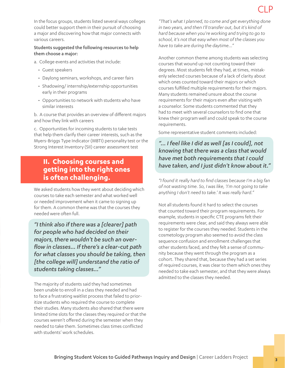In the focus groups, students listed several ways colleges could better support them in their pursuit of choosing a major and discovering how that major connects with various careers.

#### Students suggested the following resources to help them choose a major:

- a. College events and activities that include:
	- Guest speakers
	- Daylong seminars, workshops, and career fairs
	- Shadowing/ internship/externship opportunities early in their programs
	- Opportunities to network with students who have similar interests

b. A course that provides an overview of different majors and how they link with careers

c. Opportunities for incoming students to take tests that help them clarify their career interests, such as the Myers-Briggs Type Indicator (MBTI) personality test or the Strong Interest Inventory (SII) career assessment test

# **II. Choosing courses and getting into the right ones is often challenging.**

We asked students how they went about deciding which courses to take each semester and what worked well or needed improvement when it came to signing up for them. A common theme was that the courses they needed were often full.

*"I think also if there was a [clearer] path for people who had decided on their majors, there wouldn't be such an overflow in classes… If there's a clear-cut path for what classes you should be taking, then [the college will] understand the ratio of students taking classes..."*

The majority of students said they had sometimes been unable to enroll in a class they needed and had to face a frustrating waitlist process that failed to prioritize students who required the course to complete their studies. Many students also shared that there were limited time slots for the classes they required or that the courses weren't offered during the semester when they needed to take them. Sometimes class times conflicted with students' work schedules.

*"That's what I planned, to come and get everything done in two years, and then I'll transfer out, but it's kind of hard because when you're working and trying to go to school, it's not that easy when most of the classes you have to take are during the daytime..."*

Another common theme among students was selecting courses that wound up not counting toward their degrees. Most students felt they had, at times, mistakenly selected courses because of a lack of clarity about which ones counted toward their majors or which courses fulfilled multiple requirements for their majors. Many students remained unsure about the course requirements for their majors even after visiting with a counselor. Some students commented that they had to meet with several counselors to find one that knew their program well and could speak to the course requirements.

Some representative student comments included:

*"… I feel like I did as well [as I could], not knowing that there was a class that would have met both requirements that I could have taken, and I just didn't know about it."*

*"I found it really hard to find classes because I'm a big fan of not wasting time. So, I was like, 'I'm not going to take anything I don't need to take.' It was really hard."*

Not all students found it hard to select the courses that counted toward their program requirements. For example, students in specific CTE programs felt their requirements were clear, and said they always were able to register for the courses they needed. Students in the cosmetology program also seemed to avoid the class sequence confusion and enrollment challenges that other students faced, and they felt a sense of community because they went through the program as a cohort. They shared that, because they had a set series of required courses, it was clear to them which ones they needed to take each semester, and that they were always admitted to the classes they needed.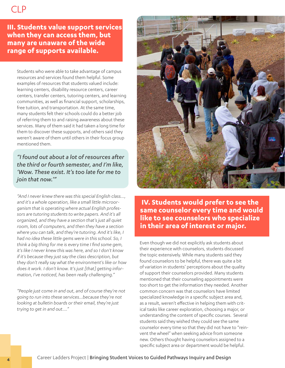**III. Students value support services when they can access them, but many are unaware of the wide range of supports available.**

Students who were able to take advantage of campus resources and services found them helpful. Some examples of resources that students valued include: learning centers, disability resource centers, career centers, transfer centers, tutoring centers, and learning communities, as well as financial support, scholarships, free tuition, and transportation. At the same time, many students felt their schools could do a better job of referring them to and raising awareness about these services. Many of them said it had taken a long time for them to discover these supports, and others said they weren't aware of them until others in their focus group mentioned them.

*"I found out about a lot of resources after the third or fourth semester, and I'm like, 'Wow. These exist. It's too late for me to join that now.'"*

*"And I never knew there was this special English class…, and it's a whole operation, like a small little microorganism that is operating where actual English professors are tutoring students to write papers. And it's all organized, and they have a section that's just all quiet room, lots of computers, and then they have a section where you can talk, and they're tutoring. And it's like, I had no idea these little gems were in this school. So, I think a big thing for me is every time I find some gem, it's like I never knew this was here, and so I don't know if it's because they just say the class description, but they don't really say what the environment's like or how does it work. I don't know. It's just [that] getting information, I've noticed, has been really challenging."*

*"People just come in and out, and of course they're not going to run into these services…because they're not looking at bulletin boards or their email, they're just trying to get in and out…."*



 **IV. Students would prefer to see the same counselor every time and would like to see counselors who specialize in their area of interest or major.**

Even though we did not explicitly ask students about their experience with counselors, students discussed the topic extensively. While many students said they found counselors to be helpful, there was quite a bit of variation in students' perceptions about the quality of support their counselors provided. Many students mentioned that their counseling appointments were too short to get the information they needed. Another common concern was that counselors have limited specialized knowledge in a specific subject area and, as a result, weren't effective in helping them with critical tasks like career exploration, choosing a major, or understanding the content of specific courses. Several students said they wished they could see the same counselor every time so that they did not have to "reinvent the wheel" when seeking advice from someone new. Others thought having counselors assigned to a specific subject area or department would be helpful.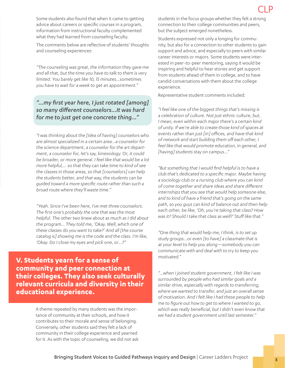Some students also found that when it came to getting advice about careers or specific courses in a program, information from instructional faculty complemented what they had learned from counseling faculty.

The comments below are reflective of students' thoughts and counseling experiences:

*"The counseling was great, the information they gave me and all that, but the time you have to talk to them is very limited. You barely get like 10, 15 minutes...sometimes you have to wait for a week to get an appointment."*

# *"…my first year here, I just rotated [among] so many different counselors…It was hard for me to just get one concrete thing..."*

*"I was thinking about the [idea of having] counselors who are almost specialized in a certain area…a counselor for the science department, a counselor for the art department, a counselor for, let's say, kinesiology. Or, it could be broader, or more general. I feel like that would be a lot more helpful,… so that they can take time to kind of see the classes in those areas, so that [counselors] can help the students better, and that way, the students can be guided toward a more specific route rather than such a broad route where they'll waste time."*

*"Yeah. Since I've been here, I've met three counselors. The first one's probably the one that was the most helpful. The other two knew about as much as I did about the program… They told me, 'Okay. Well, which one of these classes do you want to take?' And all [the course catalog is] showing me is the code and the class. I'm like, 'Okay. Do I close my eyes and pick one, or…?"*

**V. Students yearn for a sense of community and peer connection at their colleges. They also seek culturally relevant curricula and diversity in their educational experience.**

> A theme repeated by many students was the importance of community at their schools, and how it contributes to their morale and sense of belonging. Conversely, other students said they felt a lack of community in their college experience and yearned for it. As with the topic of counseling, we did not ask

students in the focus groups whether they felt a strong connection to their college communities and peers, but the subject emerged nonetheless.

Students expressed not only a longing for community, but also for a connection to other students to gain support and advice, and especially to peers with similar career interests or majors. Some students were interested in peer-to-peer mentoring, saying it would be inspiring and helpful to hear stories and get support from students ahead of them in college, and to have candid conversations with them about the college experience.

Representative student comments included:

*"I feel like one of the biggest things that's missing is a celebration of culture. Not just ethnic culture, but, I mean, even within each major there's a certain kind of unity. If we're able to create those kind of spaces at events rather than just [in] offices, and have that kind of network and start building them off each other, I feel like that would promote education, in general, and [having] students stay on campus…"*

*"But something that I would find helpful is to have a club that's dedicated to a specific major. Maybe having a sociology club or a nursing club where you can kind of come together and share ideas and share different internships that you see that would help someone else, and to kind of have a friend that's going on the same path, so you guys can kind of balance out and then help each other, be like, 'Oh, you're taking that class? How was it? Should I take that class as well?' Stuff like that."*

*"One thing that would help me, I think, is to set up study groups...or even [to have] a classmate that is at your level to help you along—somebody you can communicate with and deal with to try to keep you motivated."*

*"…when I joined student government, I felt like I was surrounded by people who had similar goals and a similar drive, especially with regards to transferring, where we wanted to transfer, and just an overall sense of motivation. And I felt like I had these people to help me to figure out how to get to where I wanted to go, which was really beneficial, but I didn't even know that we had a student government until last semester."*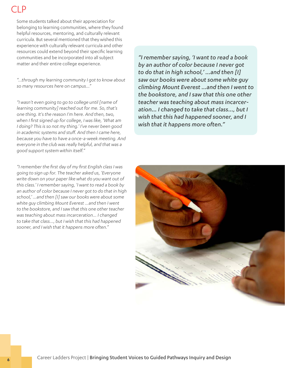# CLP

Some students talked about their appreciation for belonging to learning communities, where they found helpful resources, mentoring, and culturally relevant curricula. But several mentioned that they wished this experience with culturally relevant curricula and other resources could extend beyond their specific learning communities and be incorporated into all subject matter and their entire college experience.

*"…through my learning community I got to know about so many resources here on campus..."*

*"I wasn't even going to go to college until [name of learning community] reached out for me. So, that's one thing. It's the reason I'm here. And then, two, when I first signed up for college, I was like, 'What am I doing? This is so not my thing.' I've never been good in academic systems and stuff. And then I came here, because you have to have a once-a-week meeting. And everyone in the club was really helpful, and that was a good support system within itself."*

*"I remember the first day of my first English class I was going to sign up for. The teacher asked us, 'Everyone write down on your paper like what do you want out of this class.' I remember saying, 'I want to read a book by an author of color because I never got to do that in high school,' …and then [I] saw our books were about some white guy climbing Mount Everest …and then I went to the bookstore, and I saw that this one other teacher was teaching about mass incarceration… I changed to take that class…, but I wish that this had happened sooner, and I wish that it happens more often."*

*"I remember saying, 'I want to read a book by an author of color because I never got to do that in high school,' …and then [I] saw our books were about some white guy climbing Mount Everest …and then I went to the bookstore, and I saw that this one other teacher was teaching about mass incarceration… I changed to take that class…, but I wish that this had happened sooner, and I wish that it happens more often."*

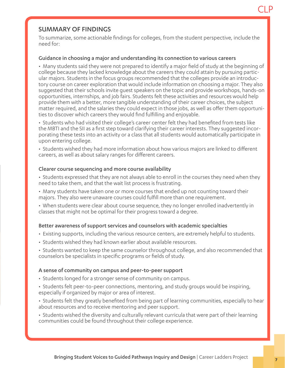# SUMMARY OF FINDINGS

To summarize, some actionable findings for colleges, from the student perspective, include the need for:

#### Guidance in choosing a major and understanding its connection to various careers

• Many students said they were not prepared to identify a major field of study at the beginning of college because they lacked knowledge about the careers they could attain by pursuing particular majors. Students in the focus groups recommended that the colleges provide an introduc-<br>tory course on career exploration that would include information on choosing a major. They also suggested that their schools invite guest speakers on the topic and provide workshops, hands-on opportunities, internships, and job fairs. Students felt these activities and resources would help provide them with a better, more tangible understanding of their career choices, the subject matter required, and the salaries they could expect in those jobs, as well as offer them opportuni- ties to discover which careers they would find fulfilling and enjoyable.

• Students who had visited their college's career center felt they had benefited from tests like<br>the MBTI and the SII as a first step toward clarifying their career interests. They suggested incorporating these tests into an activity or a class that all students would automatically participate in upon entering college.

• Students wished they had more information about how various majors are linked to different careers, as well as about salary ranges for different careers.

#### Clearer course sequencing and more course availability

• Students expressed that they are not always able to enroll in the courses they need when they need to take them, and that the wait list process is frustrating.

• Many students have taken one or more courses that ended up not counting toward their majors. They also were unaware courses could fulfill more than one requirement.

• When students were clear about course sequence, they no longer enrolled inadvertently in classes that might not be optimal for their progress toward a degree.

# Better awareness of support services and counselors with academic specialties

- Existing supports, including the various resource centers, are extremely helpful to students.
- Students wished they had known earlier about available resources.
- Students wanted to keep the same counselor throughout college, and also recommended that counselors be specialists in specific programs or fields of study.

#### A sense of community on campus and peer-to-peer support

- Students longed for a stronger sense of community on campus.
- Students felt peer-to-peer connections, mentoring, and study groups would be inspiring, especially if organized by major or area of interest.

• Students felt they greatly benefited from being part of learning communities, especially to hear about resources and to receive mentoring and peer support.

• Students wished the diversity and culturally relevant curricula that were part of their learning communities could be found throughout their college experience.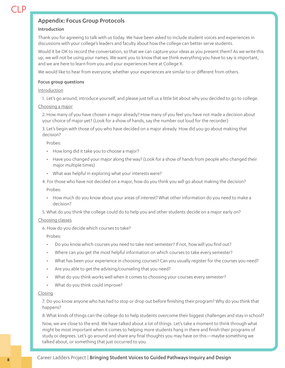#### Appendix: Focus Group Protocols

#### Introduction

Thank you for agreeing to talk with us today. We have been asked to include student voices and experiences in discussions with your college's leaders and faculty about how the college can better serve students.

Would it be OK to record the conversation, so that we can capture your ideas as you present them? As we write this up, we will not be using your names. We want you to know that we think everything you have to say is important, and we are here to learn from you and your experiences here at College X.

We would like to hear from everyone, whether your experiences are similar to or different from others.

#### Focus group questions

#### Introduction

1. Let's go around, introduce yourself, and please just tell us a little bit about why you decided to go to college.

#### Choosing a major

2.How many of you have chosen a major already? How many of you feel you have not made a decision about your choice of major yet? (Look for a show of hands, say the number out loud for the recorder)

3. Let's begin with those of you who have decided on a major already. How did you go about making that decision?

Probes:

- How long did it take you to choose a major?
- Have you changed your major along the way? (Look for a show of hands from people who changed their major multiple times)
- What was helpful in exploring what your interests were?

4. For those who have not decided on a major, how do you think you will go about making the decision?

Probes:

- How much do you know about your areas of interest? What other information do you need to make a decision?
- 5. What do you think the college could do to help you and other students decide on a major early on?

#### Choosing classes

6. How do you decide which courses to take?

Probes:

- Do you know which courses you need to take next semester? If not, how will you find out?
- Where can you get the most helpful information on which courses to take every semester?
- What has been your experience in choosing courses? Can you usually register for the courses you need?
- Are you able to get the advising/counseling that you need?
- What do you think works well when it comes to choosing your courses every semester?
- What do you think could improve?

#### Closing

7. Do you know anyone who has had to stop or drop out before finishing their program? Why do you think that happens?

8.What kinds of things can the college do to help students overcome their biggest challenges and stay in school?

Now, we are close to the end. We have talked about a lot of things. Let's take a moment to think through what might be most important when it comes to helping more students hang in there and finish their programs of study or degrees. Let's go around and share any final thoughts you may have on this—maybe something we talked about, or something that just occurred to you.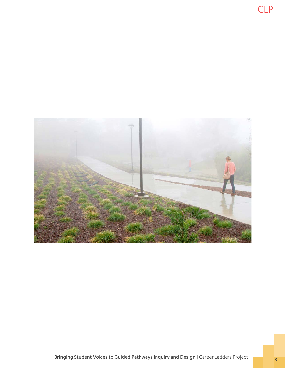